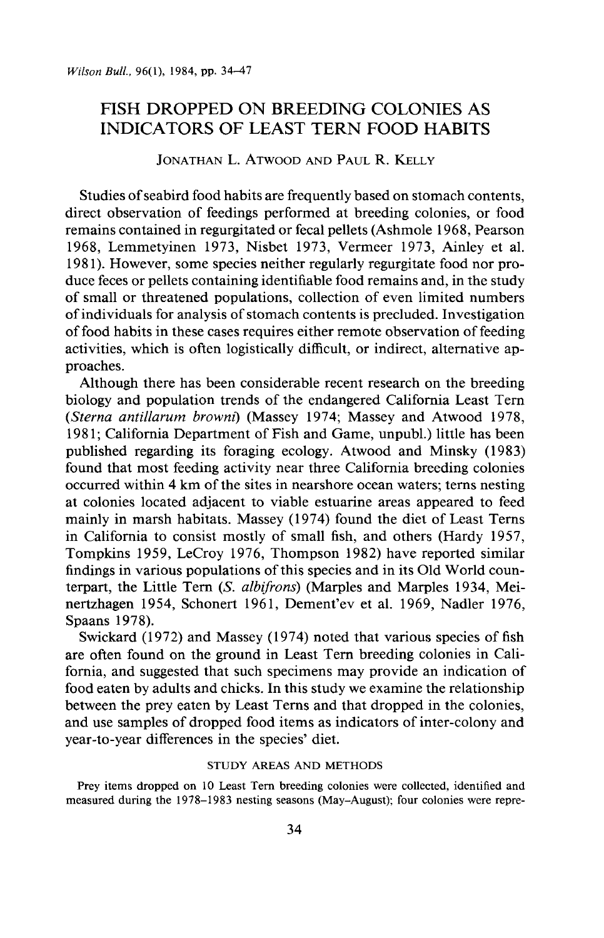# **FISH DROPPED ON BREEDING COLONIES AS INDICATORS OF LEAST TERN FOOD HABITS**

**JONATHAN L. ATWOOD AND PAUL R. KELLY** 

**Studies of seabird food habits are frequently based on stomach contents, direct observation of feedings performed at breeding colonies, or food remains contained in regurgitated or fecal pellets (Ashmole 1968, Pearson 1968, Lemmetyinen 1973, Nisbet 1973, Vermeer 1973, Ainley et al. 198 1). However, some species neither regularly regurgitate food nor produce feces or pellets containing identifiable food remains and, in the study of small or threatened populations, collection of even limited numbers of individuals for analysis of stomach contents is precluded. Investigation of food habits in these cases requires either remote observation of feeding activities, which is often logistically difficult, or indirect, alternative approaches.** 

**Although there has been considerable recent research on the breeding biology and population trends of the endangered California Least Tern (Sterna antillarum browns] (Massey 1974; Massey and Atwood 1978, 198 1; California Department of Fish and Game, unpubl.) little has been published regarding its foraging ecology. Atwood and Minsky (1983) found that most feeding activity near three California breeding colonies occurred within 4 km of the sites in nearshore ocean waters; terns nesting at colonies located adjacent to viable estuarine areas appeared to feed mainly in marsh habitats. Massey (1974) found the diet of Least Terns in California to consist mostly of small fish, and others (Hardy 1957, Tompkins 1959, LeCroy 1976, Thompson 1982) have reported similar findings in various populations of this species and in its Old World counterpart, the Little Tern (S. albifrons) (Marples and Marples 1934, Mei**nertzhagen 1954, Schonert 1961, Dement'ev et al. 1969, Nadler 1976, **Spaans 1978).** 

**Swickard (1972) and Massey (1974) noted that various species of fish are often found on the ground in Least Tern breeding colonies in California, and suggested that such specimens may provide an indication of food eaten by adults and chicks. In this study we examine the relationship between the prey eaten by Least Terns and that dropped in the colonies, and use samples of dropped food items as indicators of inter-colony and year-to-year differences in the species' diet.** 

### **STUDY AREAS AND METHODS**

**Prey items dropped on 10 Least Tern breeding colonies were collected, identified and measured during the 1978-1983 nesting seasons (May-August); four colonies were repre-**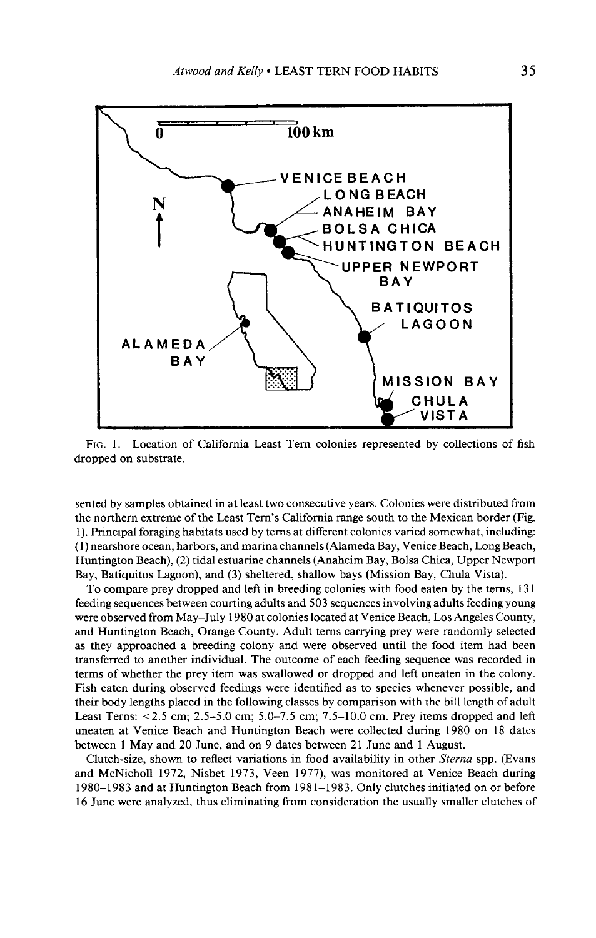

**FIG. 1. Location of California Least Tern colonies represented by collections of fish dropped on substrate.** 

**sented by samples obtained in at least two consecutive years. Colonies were distributed from the northern extreme of the Least Tern's California range south to the Mexican border (Fig. 1). Principal foraging habitats used by terns at different colonies varied somewhat, including: (1) nearshore ocean, harbors, and marina channels (Alameda Bay, Venice Beach, Long Beach, Huntington Beach), (2) tidal estuarine channels (Anaheim Bay, Bolsa Chica, Upper Newport Bay, Batiquitos Lagoon), and (3) sheltered, shallow bays (Mission Bay, Chula Vista).** 

**To compare prey dropped and left in breeding colonies with food eaten by the terns, 13 1 feeding sequences between courting adults and 503 sequences involving adults feeding young were observed from May-July 1980 at colonies located at Venice Beach, Los Angeles County, and Huntington Beach, Orange County. Adult terns carrying prey were randomly selected as they approached a breeding colony and were observed until the food item had been transferred to another individual. The outcome of each feeding sequence was recorded in terms of whether the prey item was swallowed or dropped and left uneaten in the colony. Fish eaten during observed feedings were identified as to species whenever possible, and their body lengths placed in the following classes by comparison with the bill length of adult Least Terns: ~2.5 cm; 2.5-5.0 cm; 5.0-7.5 cm; 7.5-10.0 cm. Prey items dropped and left uneaten at Venice Beach and Huntington Beach were collected during 1980 on 18 dates between 1 May and 20 June, and on 9 dates between 21 June and 1 August.** 

**Clutch-size, shown to reflect variations in food availability in other Sterna spp. (Evans and McNicholl 1972, Nisbet 1973, Veen 1977) was monitored at Venice Beach during 1980-1983 and at Huntington Beach from 198 1-1983. Only clutches initiated on or before 16 June were analyzed, thus eliminating from consideration the usually smaller clutches of**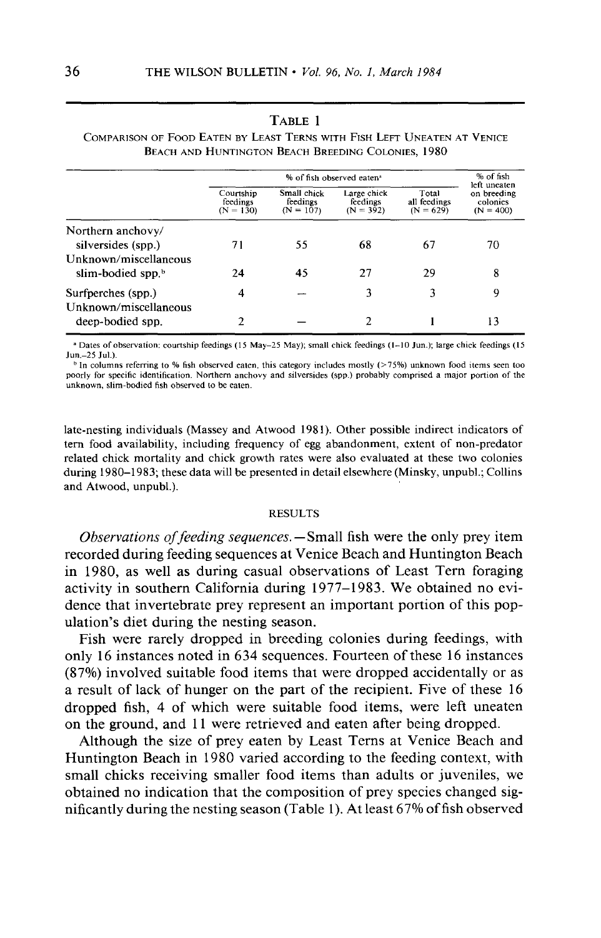|                                           |                                      |                                        | % of fish observed eaten <sup>a</sup>  |                                      | % of fish<br>left uneaten              |
|-------------------------------------------|--------------------------------------|----------------------------------------|----------------------------------------|--------------------------------------|----------------------------------------|
|                                           | Courtship<br>feedings<br>$(N = 130)$ | Small chick<br>feedings<br>$(N = 107)$ | Large chick<br>feedings<br>$(N = 392)$ | Total<br>all feedings<br>$(N = 629)$ | on breeding<br>colonies<br>$(N = 400)$ |
| Northern anchovy/                         |                                      |                                        |                                        |                                      |                                        |
| silversides (spp.)                        | 71                                   | 55                                     | 68                                     | 67                                   | 70                                     |
| Unknown/miscellaneous                     |                                      |                                        |                                        |                                      |                                        |
| slim-bodied spp. $\frac{b}{b}$            | 24                                   | 45                                     | 27                                     | 29                                   | 8                                      |
| Surfperches (spp.)                        | 4                                    |                                        | ٦                                      |                                      | 9                                      |
| Unknown/miscellaneous<br>deep-bodied spp. |                                      |                                        | 2                                      |                                      | 13                                     |

## **TABLE 1 COMPARISON OF FOOD EATEN BY LEAST TERNS WITH FISH LEFT UNEATEN AT VENICE BEACH AND HUNTINGTON BEACH BREEDING COLONIES, 1980**

<sup>a</sup> Dates of observation: courtship feedings (15 May-25 May); small chick feedings (1-10 Jun.); large chick feedings (15 **Jun.-25 Jul.).** 

**b In columns referring to % fish observed eaten, this category includes mostly (>75%) unknown food stems seen too poorly for specific identification. Northern anchovy and silversides (spp.) probably comprised a major portion of the**  unknown, slim-bodied fish observed to be eaten.

**late-nesting individuals (Massey and Atwood 198 1). Other possible indirect indicators of tern food availability, including frequency of egg abandonment, extent of non-predator related chick mortality and chick growth rates were also evaluated at these two colonies during 1980-1983; these data will be presented in detail elsewhere (Minsky, unpubl.; Collins and Atwood, unpubl.).** 

### **RESULTS**

**Observations of feeding sequences. -Small fish were the only prey item recorded during feeding sequences at Venice Beach and Huntington Beach in 1980, as well as during casual observations of Least Tern foraging activity in southern California during 1977-l 983. We obtained no evidence that invertebrate prey represent an important portion of this pop**ulation's diet during the nesting season.

**Fish were rarely dropped in breeding colonies during feedings, with only 16 instances noted in 634 sequences. Fourteen of these 16 instances (87%) involved suitable food items that were dropped accidentally or as a result of lack of hunger on the part of the recipient. Five of these 16 dropped fish, 4 of which were suitable food items, were left uneaten on the ground, and 11 were retrieved and eaten after being dropped.** 

**Although the size of prey eaten by Least Terns at Venice Beach and Huntington Beach in 1980 varied according to the feeding context, with small chicks receiving smaller food items than adults or juveniles, we obtained no indication that the composition of prey species changed significantly during the nesting season (Table 1). At least 67% of fish observed**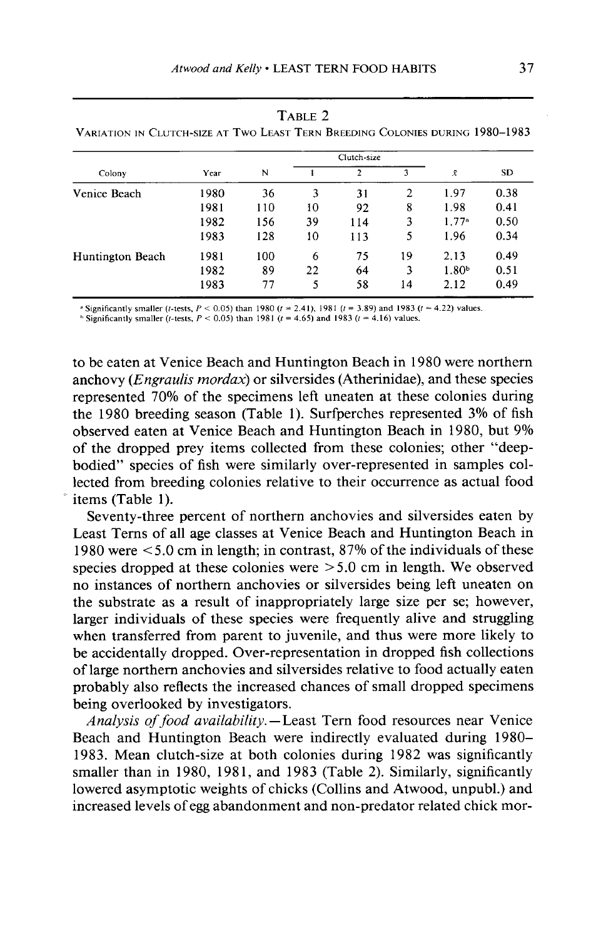|                  |      |     |    | Clutch-size  |    |                   |      |
|------------------|------|-----|----|--------------|----|-------------------|------|
| Colony           | Year | N   |    | $\mathbf{2}$ | 3  | $\bar{x}$         | SD.  |
| Venice Beach     | 1980 | 36  | 3  | 31           | 2  | 1.97              | 0.38 |
|                  | 1981 | 110 | 10 | 92           | 8  | 1.98              | 0.41 |
|                  | 1982 | 156 | 39 | 114          | 3  | 1.77 <sup>a</sup> | 0.50 |
|                  | 1983 | 128 | 10 | 113          | 5  | 1.96              | 0.34 |
| Huntington Beach | 1981 | 100 | 6  | 75           | 19 | 2.13              | 0.49 |
|                  | 1982 | 89  | 22 | 64           | 3  | 1.80 <sup>b</sup> | 0.51 |
|                  | 1983 | 77  | 5  | 58           | 14 | 2.12              | 0.49 |

**TABLE 2 VARIATION IN CLUTCH-SIZE AT TWOLEASTTERN BREEDING COLONIES DURING 1980-1983** 

 $t$  Significantly smaller (*t*-tests,  $P < 0.05$ ) than 1980 ( $t = 2.41$ ), 1981 ( $t = 3.89$ ) and 1983 ( $t = 4.22$ ) values.

<sup>**h Significantly smaller (t-tests,**  $P < 0.05$ **) than 1981 (t = 4.65) and 1983 (t = 4.16) values.**</sup>

**to be eaten at Venice Beach and Huntington Beach in 1980 were northern anchovy (Engruulis mordax) or silversides (Atherinidae), and these species represented 70% of the specimens left uneaten at these colonies during the 1980 breeding season (Table 1). Surfperches represented 3% of fish observed eaten at Venice Beach and Huntington Beach in 1980, but 9% of the dropped prey items collected from these colonies; other "deepbodied" species of fish were similarly over-represented in samples collected from breeding colonies relative to their occurrence as actual food**  items (Table 1).

**Seventy-three percent of northern anchovies and silversides eaten by Least Terns of all age classes at Venice Beach and Huntington Beach in 1980 were < 5.0 cm in length; in contrast, 87% of the individuals of these species dropped at these colonies were >5.0 cm in length. We observed no instances of northern anchovies or silversides being left uneaten on the substrate as a result of inappropriately large size per se; however, larger individuals of these species were frequently alive and struggling when transferred from parent to juvenile, and thus were more likely to be accidentally dropped. Over-representation in dropped fish collections of large northern anchovies and silversides relative to food actually eaten probably also reflects the increased chances of small dropped specimens being overlooked by investigators.** 

**Analysis of food availability. -Least Tern food resources near Venice Beach and Huntington Beach were indirectly evaluated during 1980- 1983. Mean clutch-size at both colonies during 1982 was significantly**  smaller than in 1980, 1981, and 1983 (Table 2). Similarly, significantly **lowered asymptotic weights of chicks (Collins and Atwood, unpubl.) and increased levels of egg abandonment and non-predator related chick mor-**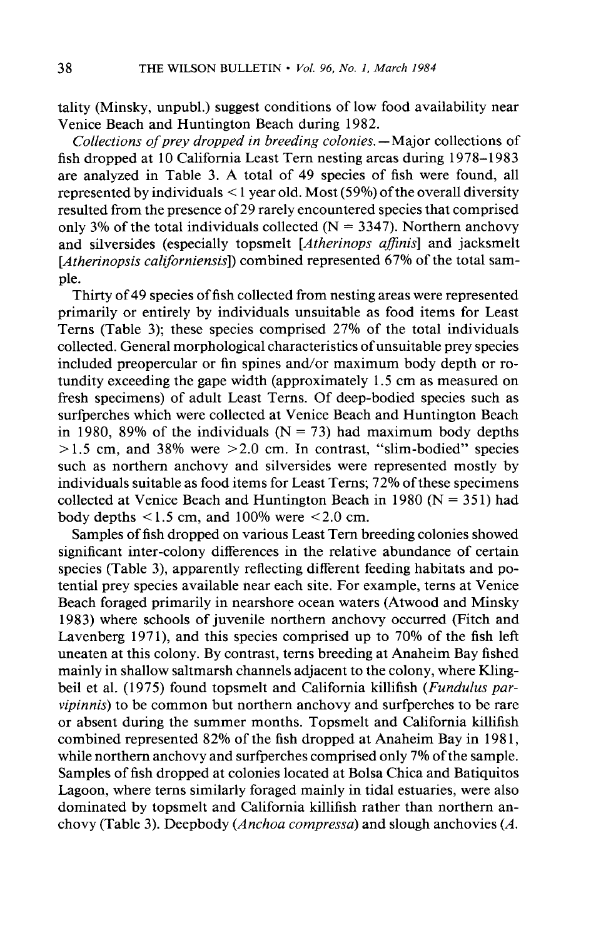**tality (Minsky, unpubl.) suggest conditions of low food availability near Venice Beach and Huntington Beach during 1982.** 

**Collections of prey dropped in breeding colonies. -Major collections of fish dropped at 10 California Least Tern nesting areas during 1978-l 983 are analyzed in Table 3. A total of 49 species of fish were found, all represented by individuals < 1 year old. Most (59%) of the overall diversity resulted from the presence of 29 rarely encountered species that comprised**  only 3% of the total individuals collected  $(N = 3347)$ . Northern anchovy **and silversides (especially topsmelt [Atherinops afinis] and jacksmelt [Atherinopsis californiensis]) combined represented 67% of the total sample.** 

**Thirty of 49 species of fish collected from nesting areas were represented primarily or entirely by individuals unsuitable as food items for Least Terns (Table 3); these species comprised 27% of the total individuals collected. General morphological characteristics of unsuitable prey species included preopercular or fin spines and/or maximum body depth or rotundity exceeding the gape width (approximately 1.5 cm as measured on fresh specimens) of adult Least Terns. Of deep-bodied species such as surfperches which were collected at Venice Beach and Huntington Beach**  in 1980, 89% of the individuals  $(N = 73)$  had maximum body depths **> 1.5 cm, and 38% were >2.0 cm. In contrast, "slim-bodied" species such as northern anchovy and silversides were represented mostly by individuals suitable as food items for Least Terns; 72% of these specimens collected at Venice Beach and Huntington Beach in 1980 (N = 35 1) had**  body depths  $\leq 1.5$  cm, and 100% were  $\leq 2.0$  cm.

**Samples of fish dropped on various Least Tern breeding colonies showed significant inter-colony differences in the relative abundance of certain**  species (Table 3), apparently reflecting different feeding habitats and po**tential prey species available near each site. For example, terns at Venice Beach foraged primarily in nearshore ocean waters (Atwood and Minsky 1983) where schools of juvenile northern anchovy occurred (Fitch and**  Lavenberg 1971), and this species comprised up to 70% of the fish left **uneaten at this colony. By contrast, terns breeding at Anaheim Bay fished mainly in shallow saltmarsh channels adjacent to the colony, where Kling**beil et al. (1975) found topsmelt and California killifish (*Fundulus par***vipinnis) to be common but northern anchovy and surfperches to be rare or absent during the summer months. Topsmelt and California killifish combined represented 82% of the fish dropped at Anaheim Bay in 198 1, while northern anchovy and surfperches comprised only 7% of the sample. Samples of fish dropped at colonies located at Bolsa Chica and Batiquitos Lagoon, where terns similarly foraged mainly in tidal estuaries, were also dominated by topsmelt and California killifish rather than northern anchovy (Table 3). Deepbody (Anchoa compressa) and slough anchovies (A.**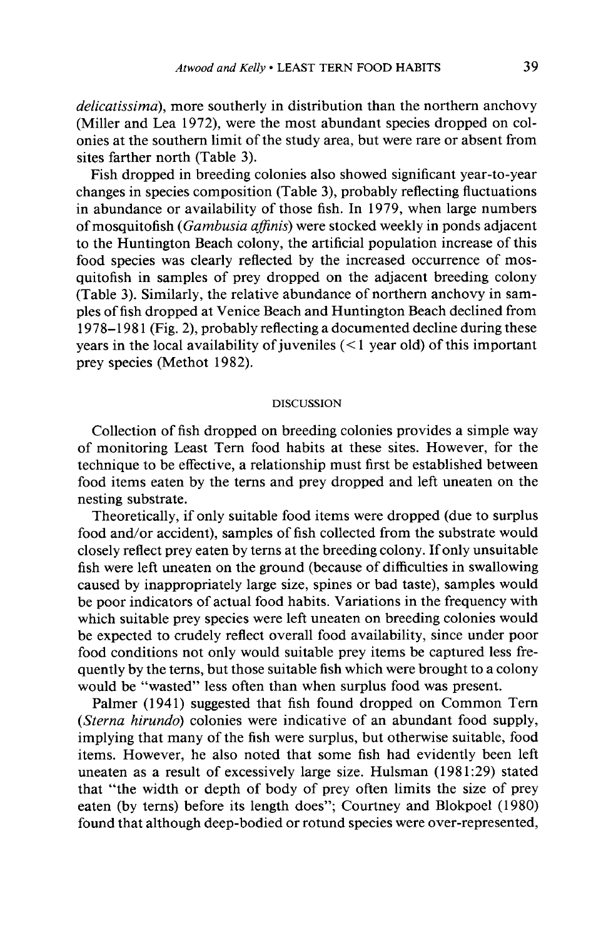**delicatissima), more southerly in distribution than the northern anchovy (Miller and Lea 1972) were the most abundant species dropped on colonies at the southern limit of the study area, but were rare or absent from sites farther north (Table 3).** 

**Fish dropped in breeding colonies also showed significant year-to-year**  changes in species composition (Table 3), probably reflecting fluctuations **in abundance or availability of those fish. In 1979, when large numbers of mosquitofish (Gambusia afinis) were stocked weekly in ponds adjacent to the Huntington Beach colony, the artificial population increase of this food species was clearly reflected by the increased occurrence of mosquitofish in samples of prey dropped on the adjacent breeding colony (Table 3). Similarly, the relative abundance of northern anchovy in samples of fish dropped at Venice Beach and Huntington Beach declined from 1978-l 98 1 (Fig. 2), probably reflecting a documented decline during these years in the local availability of juveniles (< 1 year old) of this important prey species (Methot 1982).** 

### **DISCUSSION**

**Collection of fish dropped on breeding colonies provides a simple way of monitoring Least Tern food habits at these sites. However, for the technique to be effective, a relationship must first be established between food items eaten by the terns and prey dropped and left uneaten on the nesting substrate.** 

**Theoretically, if only suitable food items were dropped (due to surplus food and/or accident), samples of fish collected from the substrate would closely reflect prey eaten by terns at the breeding colony. If only unsuitable fish were left uneaten on the ground (because of difficulties in swallowing caused by inappropriately large size, spines or bad taste), samples would be poor indicators of actual food habits. Variations in the frequency with which suitable prey species were left uneaten on breeding colonies would be expected to crudely reflect overall food availability, since under poor food conditions not only would suitable prey items be captured less frequently by the terns, but those suitable fish which were brought to a colony would be "wasted" less often than when surplus food was present.** 

**Palmer (1941) suggested that fish found dropped on Common Tern (Sterna hirundo) colonies were indicative of an abundant food supply, implying that many of the fish were surplus, but otherwise suitable, food items. However, he also noted that some fish had evidently been left uneaten as a result of excessively large size. Hulsman (198 1:29) stated that "the width or depth of body of prey often limits the size of prey eaten (by terns) before its length does"; Courtney and Blokpoel (1980) found that although deep-bodied or rotund species were over-represented,**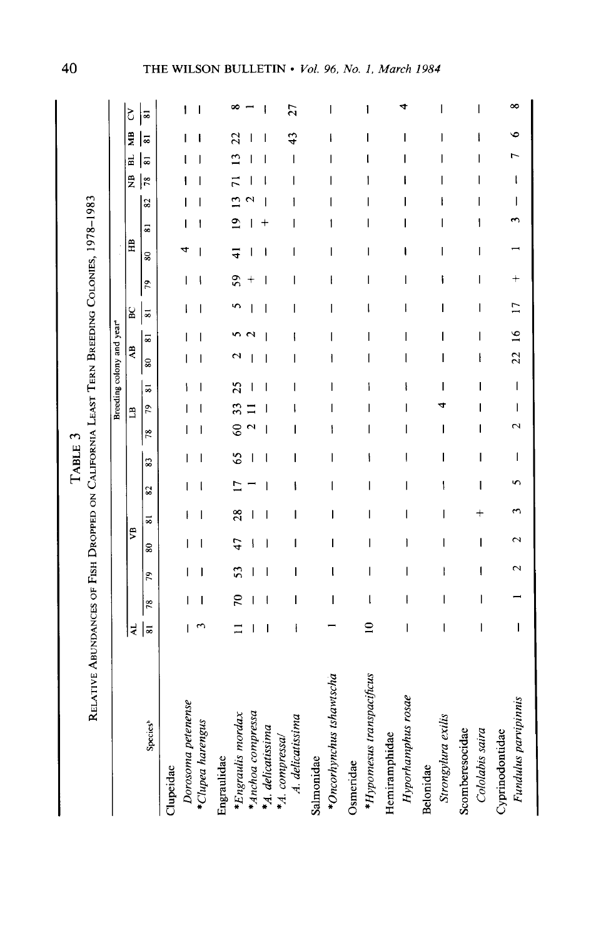TABLE 3

RELATIVE ABUNDANCES OF FISH DROPPED ON CALIFORNIA LEAST TERN BREEDING COLONIES, 1978-1983

|                                    |                |    |                          |                          |                          |                          |    |                   | Breeding colony and year <sup>®</sup> |                      |                 |               |   |         |   |   |    |          |                                |                |   |
|------------------------------------|----------------|----|--------------------------|--------------------------|--------------------------|--------------------------|----|-------------------|---------------------------------------|----------------------|-----------------|---------------|---|---------|---|---|----|----------|--------------------------------|----------------|---|
|                                    |                |    |                          |                          |                          |                          |    |                   |                                       |                      |                 |               |   |         |   |   |    | Ê        | ŽВ<br>E                        | Š              |   |
|                                    | 41             |    |                          | 5                        |                          |                          |    |                   | Ë                                     |                      | $\overline{AB}$ |               | g |         | Ê |   |    |          |                                |                |   |
| Species <sup>b</sup>               | $\overline{8}$ | 78 | 79                       | 80                       | ≈                        | 82                       | 33 | 78                | 79                                    | $\overline{\bullet}$ | 30              | ವ<br>ವ        |   | g<br>29 |   | 5 | 82 | 53<br>78 | $\overline{\bullet}$           | $\overline{5}$ |   |
| Clupeidae                          |                |    |                          |                          |                          |                          |    |                   |                                       |                      |                 |               |   |         |   |   |    |          |                                |                |   |
| Dorosoma petenense                 |                |    |                          |                          |                          |                          |    |                   |                                       |                      |                 |               |   |         |   |   |    |          |                                | ١              |   |
| *Clupea harengus                   |                |    |                          |                          |                          |                          |    |                   |                                       |                      |                 |               | ı |         |   |   |    |          |                                |                |   |
| Engraulidae                        |                |    |                          |                          |                          |                          |    |                   |                                       |                      |                 |               |   |         |   |   |    |          |                                |                |   |
| *Engraulis mordax                  |                | 20 | 53                       | 47                       | 28                       | $\overline{\phantom{0}}$ | 65 | $\Im$             | 33                                    | 25                   |                 |               |   | 59      | ₹ | ۰ |    | π        | 23                             |                |   |
| *Anchoa compressa                  |                |    |                          |                          |                          |                          |    | $\mathbf{\Omega}$ |                                       |                      |                 |               |   |         |   |   |    |          |                                |                |   |
| *A. delicatissima                  |                |    |                          |                          |                          |                          | ı  |                   |                                       |                      |                 |               |   |         |   |   |    |          | ı                              |                |   |
| A. delicatissima<br>*A. compressa/ |                | ı  | ı                        | I                        | ı                        | ١                        | ı  | I                 |                                       |                      |                 |               | I | l       | I | ı |    | ı        | 43<br>$\overline{\phantom{a}}$ | 27             |   |
| Salmonidae                         |                |    |                          |                          |                          |                          |    |                   |                                       |                      |                 |               |   |         |   |   |    |          |                                |                |   |
| *Oncorhynchus tshawtscha           |                | I  | ţ                        | I                        | I                        | I                        | I  | ۱                 |                                       |                      | ł               |               | I | ł       | I | ۱ |    |          | I<br>Ī                         |                | ı |
| Osmeridae                          |                |    |                          |                          |                          |                          |    |                   |                                       |                      |                 |               |   |         |   |   |    |          |                                |                |   |
| *Hypomesus transpacificus          | ≘              | l  | ı                        | I                        | I                        | I                        | ١  |                   |                                       |                      |                 |               |   |         |   |   |    |          |                                |                | ۱ |
| Hemiramphidae                      |                |    |                          |                          |                          |                          |    |                   |                                       |                      |                 |               |   |         |   |   |    |          |                                |                |   |
| Hyporhamphus rosae                 | I              | I  | I                        | I                        | $\overline{\phantom{a}}$ | $\overline{\phantom{a}}$ | I  | I                 | I                                     |                      | ı               | ı             | I | I       | ۱ | ı |    |          | I<br>I                         |                |   |
| Belonidae                          |                |    |                          |                          |                          |                          |    |                   |                                       |                      |                 |               |   |         |   |   |    |          |                                |                |   |
| Strongylura exilis                 |                | ı  | I                        | I                        | I                        | ļ                        | I  | I                 |                                       |                      | ı               |               | I |         | ı |   |    |          | I<br>I                         |                |   |
| Scomberesocidae                    |                |    |                          |                          |                          |                          |    |                   |                                       |                      |                 |               |   |         |   |   |    |          |                                |                |   |
| Cololabis saira                    | ı              | I  | $\overline{\phantom{a}}$ | $\overline{\phantom{a}}$ | $\ddagger$               | I                        | I  | I                 |                                       | I                    | ł               | ı             | I | I       | I | ١ | ı  | I        | I<br>I                         |                | ı |
| Cyprinodontidae                    |                |    |                          |                          |                          |                          |    |                   |                                       |                      |                 |               |   |         |   |   |    |          |                                |                |   |
| Fundulus parvipinnis               | I              |    |                          |                          |                          |                          | I  |                   | I                                     | I                    | $\overline{22}$ | $\frac{8}{1}$ |   |         |   |   | I  | ł        |                                |                | œ |

40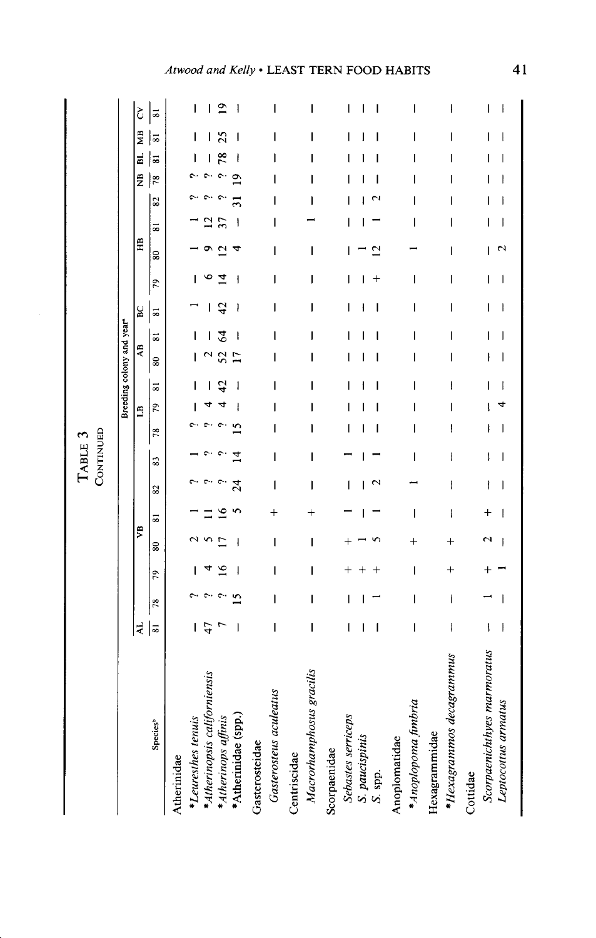| Macrorhamphosus gracilis<br>*Atherinopsis californiensis<br>Gasterosteus aculeatus<br>*Atherinidae (spp.)<br>Sebastes serriceps<br>*Atherinops affinis<br>*Leuresthes tenuis<br><b>Species</b> <sup>b</sup><br>S. paucispinis<br>Anoplomatidae<br>Gasterosteidae<br>Scorpaenidae<br>Centriscidae<br>Atherinidae<br>S. spp. | $\overline{A}$<br>$\overline{8}$<br>I<br>I<br>l<br>ı<br>$\overline{\phantom{a}}$ | $\mathbf{\Omega}$<br>I<br>I<br>78 | I<br>٥<br>I<br>56 | yB<br>$\overline{\phantom{a}}$<br>I<br>ន | $^{+}$<br>ವ         | CONTINUED<br>$\overline{24}$<br>I<br>$\mathbf{\hat{c}}$<br>I<br>I<br>2 | I<br>$\vec{A}$<br>I<br>83 | I<br>l<br>I<br>$\overline{\phantom{a}}$<br>78 | 79<br>ı<br>Ë             | Breeding colony and year <sup>®</sup><br>80<br>45<br>ı<br>l<br>ಷ | ı<br>ı<br>$\overline{\mathbf{s}}$<br>₹<br>52<br>Ē<br>I<br>ı | 42<br>I<br>ı<br>I<br>ı<br>I<br>8C<br>$\overline{\phantom{0}}$ | I<br>4<br>I<br>79 | I<br>$\overline{c}$<br>I<br>$\overline{\phantom{0}}$ | 5<br>$\widehat{H}$ | 82<br>ı<br>I<br>I | $\ddot{z}$<br>Ō<br>$\frac{8}{2}$<br>ı | 늷<br>œ<br>I<br>ı<br>∣≂<br>I | ŽЯ<br>I<br>∣≂<br>I<br>I<br>I | ₾<br>ı<br>I<br>I<br>ł<br>ı<br>I<br>Š<br>$\overline{\phantom{0}}$ |
|----------------------------------------------------------------------------------------------------------------------------------------------------------------------------------------------------------------------------------------------------------------------------------------------------------------------------|----------------------------------------------------------------------------------|-----------------------------------|-------------------|------------------------------------------|---------------------|------------------------------------------------------------------------|---------------------------|-----------------------------------------------|--------------------------|------------------------------------------------------------------|-------------------------------------------------------------|---------------------------------------------------------------|-------------------|------------------------------------------------------|--------------------|-------------------|---------------------------------------|-----------------------------|------------------------------|------------------------------------------------------------------|
| * Anoplopoma fimbria                                                                                                                                                                                                                                                                                                       | I                                                                                | I                                 | I                 | $^+$                                     | I                   |                                                                        | I                         | I                                             | $\overline{\phantom{a}}$ | ı                                                                | I<br>ı                                                      | I                                                             | I                 |                                                      |                    | I<br>I            | ı                                     | I                           | I                            | I                                                                |
| *Hexagrammos decagrammus<br>Hexagrammidae<br>Cottidae                                                                                                                                                                                                                                                                      | I                                                                                | I                                 | $\ddag$           | $^{+}$                                   | ł                   | $\mathbf i$                                                            | ļ                         | ł                                             | 1                        | ł                                                                | I<br>I                                                      | I                                                             | I                 | I                                                    |                    | I                 |                                       | I                           | I                            | ł                                                                |
| Scorpaenichthyes marmoratus<br>Leptocottus armatus                                                                                                                                                                                                                                                                         | $\mathbf{I}$<br>I                                                                | I                                 |                   | 2                                        | $\overline{+}$<br>I | ł<br>I                                                                 | ļ<br>I                    | I<br>ł                                        |                          | I                                                                | I<br>ľ                                                      | I<br>1                                                        | I<br>ı            |                                                      | ∾                  | I<br>I<br>1       |                                       | I                           | 1<br>I                       | ł<br>I                                                           |

## Atwood and Kelly . LEAST TERN FOOD HABITS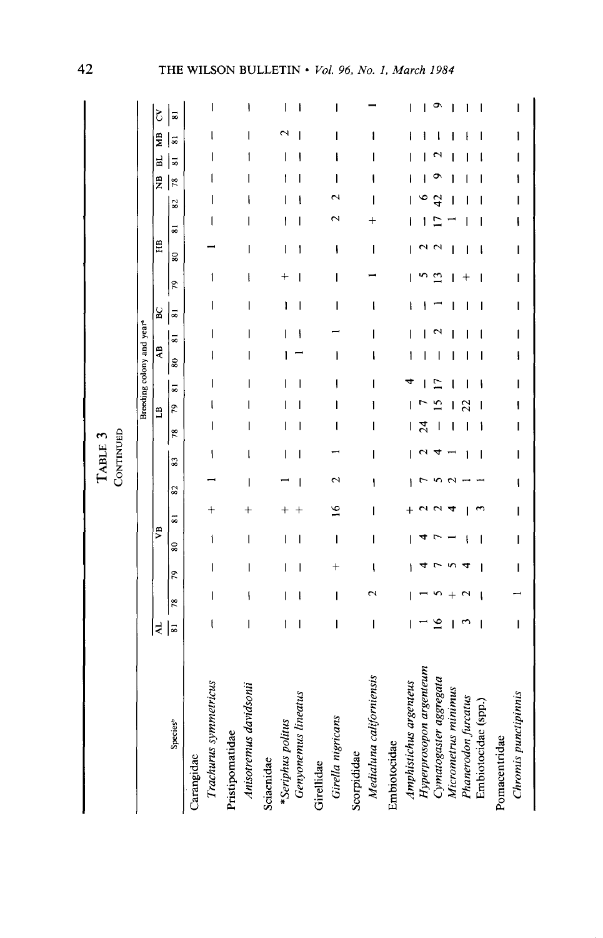|                                                                                                                                                                  |                   |    |    |    |    |         |    |    |                | Breeding colony and year <sup>®</sup> |                   |   |                         |    |        |   |                |    |                      |    |                      |
|------------------------------------------------------------------------------------------------------------------------------------------------------------------|-------------------|----|----|----|----|---------|----|----|----------------|---------------------------------------|-------------------|---|-------------------------|----|--------|---|----------------|----|----------------------|----|----------------------|
|                                                                                                                                                                  | 국                 |    |    | ₹, |    |         |    |    | $\overline{a}$ |                                       | ą                 |   | S                       |    | HB     |   |                | Ž  | 닓                    | МB | Š                    |
| Species <sup>b</sup>                                                                                                                                             | ವ                 | 78 | 79 | 80 | 53 | $^{82}$ | 83 | 78 | 79             | $\overline{8}$                        | $\boldsymbol{80}$ | ವ | $\overline{\mathbf{8}}$ | 79 | 80     | ಹ | $\overline{8}$ | 78 | $\overline{\bullet}$ | 5  | $\overline{\bullet}$ |
| Trachurus symmetricus<br>Carangidae                                                                                                                              |                   |    |    | ۱  |    |         |    |    |                |                                       |                   |   |                         | 1  |        |   |                |    |                      |    | ı                    |
| Anisotremus davidsonii<br>Pristipomatidae                                                                                                                        | I                 | ١  | ı  | I  |    |         |    |    |                |                                       | ı                 |   | ı                       | l  | ı      | I |                |    |                      |    |                      |
| Genyonemus lineatus<br>*Seriphus politus<br>Sciaenidae                                                                                                           | $\mathbf{I}$<br>ı | I  |    |    |    |         |    |    |                |                                       |                   |   |                         |    | I<br>١ | ۱ |                |    |                      |    |                      |
| Girella nigricans<br>Girellidae                                                                                                                                  | I                 | I  |    | I  | ≌  |         |    |    |                |                                       |                   |   | I                       | I  | ۱      |   |                |    |                      |    |                      |
| Medialuna californiensis<br>Scorpididae                                                                                                                          | I                 |    |    | I  |    | ۱       |    |    |                |                                       | ı                 | ı | l                       |    | ı      |   |                |    |                      |    |                      |
| Hyperprosopon argenteum<br>Cymatogaster aggregata<br>Amphistichus argenteus<br>Micrometrus minimus<br>Phanerodon furcatus<br>Embiotocidae (spp.)<br>Embiotocidae |                   |    |    |    |    |         |    | শূ |                |                                       |                   |   |                         |    |        |   |                |    |                      |    |                      |
| Chromis punctipinnis<br>Pomacentridae                                                                                                                            | I                 |    |    |    |    |         |    |    |                |                                       |                   |   | ı                       |    | ı      |   |                |    |                      |    |                      |

 $42$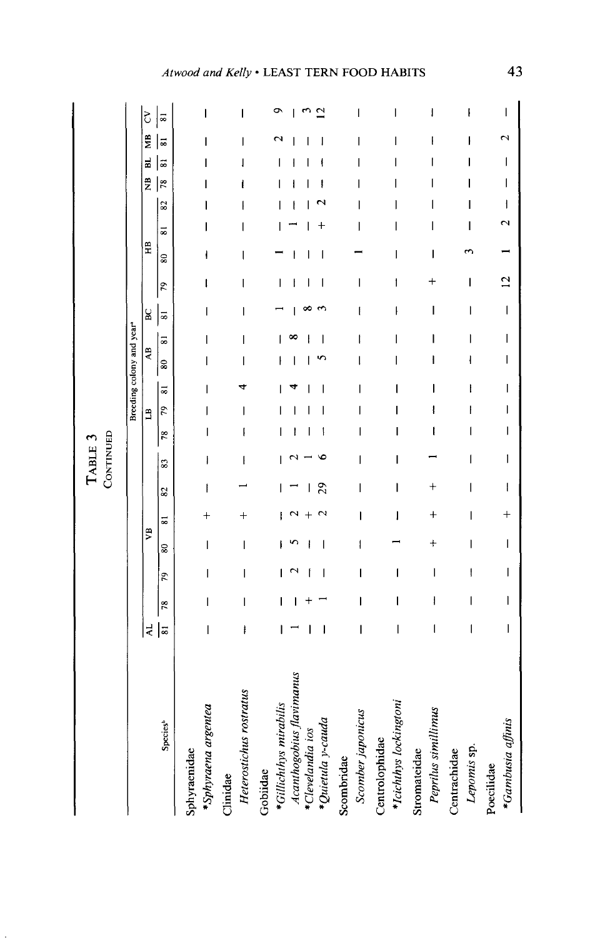# Atwood and Kelly . LEAST TERN FOOD HABITS

43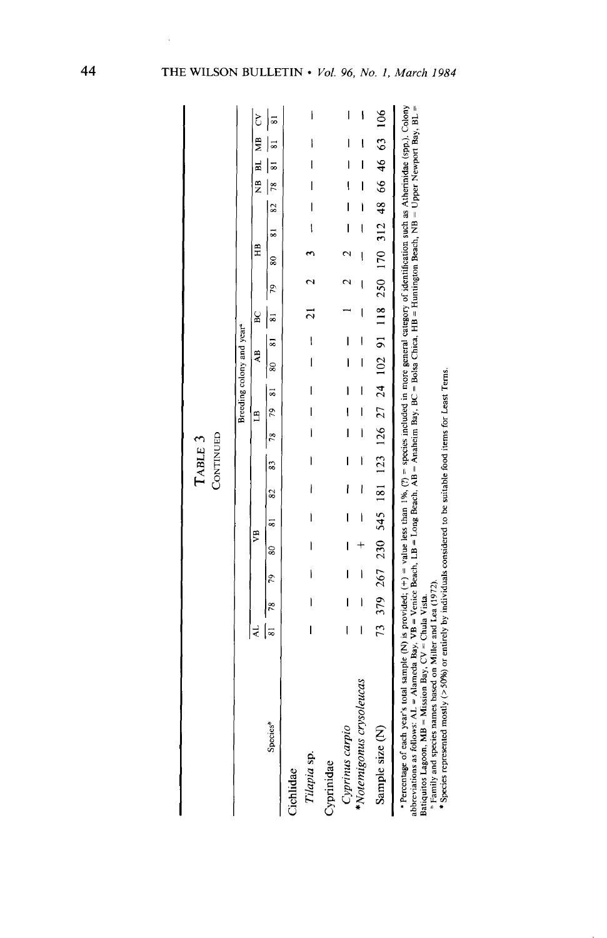|                                                                                                                                                                                                                                                                                                                                                                                                                                         |   |                          |              |                          |                          |                          | CONTINUED<br>TABLE 3 |                          |                          |                                       |                              |   |                                                                             |   |                          |                          |                |                               |                |   |
|-----------------------------------------------------------------------------------------------------------------------------------------------------------------------------------------------------------------------------------------------------------------------------------------------------------------------------------------------------------------------------------------------------------------------------------------|---|--------------------------|--------------|--------------------------|--------------------------|--------------------------|----------------------|--------------------------|--------------------------|---------------------------------------|------------------------------|---|-----------------------------------------------------------------------------|---|--------------------------|--------------------------|----------------|-------------------------------|----------------|---|
|                                                                                                                                                                                                                                                                                                                                                                                                                                         |   |                          |              |                          |                          |                          |                      |                          |                          | Breeding colony and year <sup>4</sup> |                              |   |                                                                             |   |                          |                          |                |                               |                |   |
|                                                                                                                                                                                                                                                                                                                                                                                                                                         |   |                          |              | 5                        |                          |                          |                      |                          | É                        |                                       | ĄB                           | g |                                                                             | Ê |                          |                          |                |                               | NB BL MB CV    |   |
| <b>Species</b> <sup>b</sup>                                                                                                                                                                                                                                                                                                                                                                                                             |   | $\frac{8}{2}$            |              |                          |                          |                          |                      |                          |                          |                                       |                              |   | $\mathcal{L}_{\mathcal{L}}$                                                 |   | $80$ $81$ $82$ $78$ $81$ |                          |                |                               | $\overline{8}$ |   |
| Cichlidae                                                                                                                                                                                                                                                                                                                                                                                                                               |   |                          |              |                          |                          |                          |                      |                          |                          |                                       |                              |   |                                                                             |   |                          |                          |                |                               |                |   |
| Tilapia sp.                                                                                                                                                                                                                                                                                                                                                                                                                             | I | I                        | $\mathsf{I}$ | $\overline{\phantom{a}}$ | $\mathsf{I}$             | $\overline{\phantom{a}}$ | I                    |                          | $\frac{1}{1}$            |                                       | $\frac{1}{1}$                |   |                                                                             |   | $\overline{\mathbf{1}}$  | $\overline{\phantom{a}}$ | $\overline{1}$ | ١<br>l                        |                | I |
| Cyprinidae                                                                                                                                                                                                                                                                                                                                                                                                                              |   |                          |              |                          |                          |                          |                      |                          |                          |                                       |                              |   |                                                                             |   |                          |                          |                |                               |                |   |
| Cyprinus carpio                                                                                                                                                                                                                                                                                                                                                                                                                         | I | I                        | I            | I                        | I                        | l                        | I                    | $\overline{\phantom{a}}$ | I                        | I                                     | Ì                            |   |                                                                             |   | I                        |                          | l              | I<br>I                        |                | I |
| *Notemigonus crysoleucas                                                                                                                                                                                                                                                                                                                                                                                                                | I | $\overline{\phantom{a}}$ | $\mathsf{l}$ |                          | $\overline{\phantom{a}}$ | I                        | $\mathsf{l}$         | $\overline{1}$           | $\overline{\phantom{a}}$ | $\overline{\phantom{a}}$              | I<br>$\overline{\mathbf{I}}$ | I |                                                                             | ļ | l                        | Í                        | l              | ļ<br>$\overline{\phantom{a}}$ |                | ١ |
| Sample size (N)                                                                                                                                                                                                                                                                                                                                                                                                                         |   |                          |              |                          |                          |                          |                      |                          |                          |                                       |                              |   | 73 379 267 230 545 181 123 126 27 24 102 91 118 250 170 312 48 66 46 63 106 |   |                          |                          |                |                               |                |   |
| <b>Percentage of each year's total sample (N)</b> is provided; $(+) =$ value less than 1%, (?) = species included in more general category of identification such as Atherinidae (spp.). Colony<br>abbreviations as follows: AL = Alameda Bay, VB = Venice Beach, LB = Long Beach, AB = Anaheim Bay, BC = Bolsa Chica, HB = Huntington Beach, NB = Upper Newport Bay, BL =<br>Batiquitos Lagoon, MB = Mission Bay, $CV = Chula Vista$ . |   |                          |              |                          |                          |                          |                      |                          |                          |                                       |                              |   |                                                                             |   |                          |                          |                |                               |                |   |

<sup>6</sup> Family and species names based on Miller and Lea (1972).<br><sup>8</sup> Species represented mostly (> 50%) or entirely by individuals considered to be suitable food items for Least Terns.

THE WILSON BULLETIN . Vol. 96, No. 1, March 1984

44

l,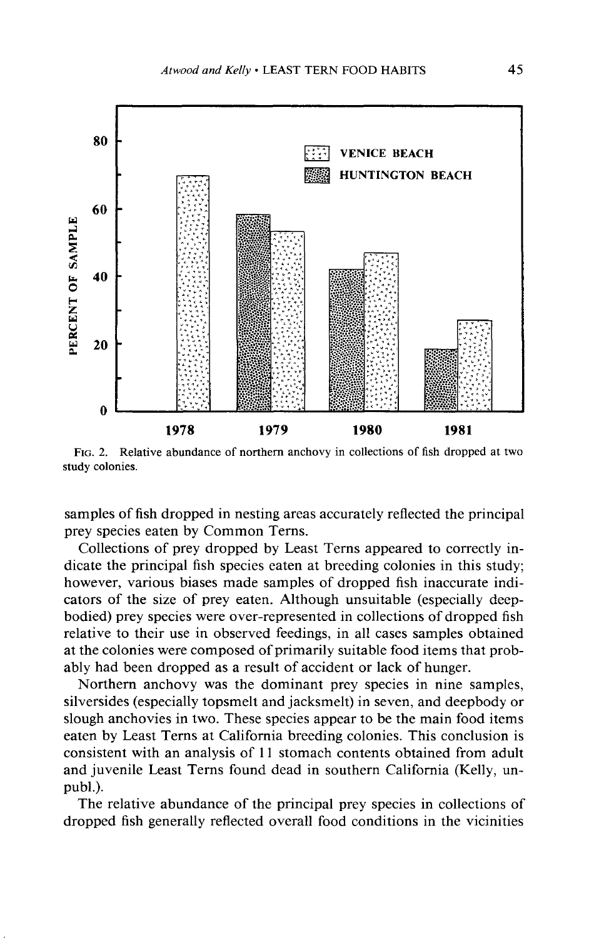

**FIG. 2. Relative abundance of northern anchovy in collections of fish dropped at two study colonies.** 

**samples of fish dropped in nesting areas accurately reflected the principal prey species eaten by Common Terns.** 

**Collections of prey dropped by Least Terns appeared to correctly indicate the principal fish species eaten at breeding colonies in this study; however, various biases made samples of dropped fish inaccurate indicators of the size of prey eaten. Although unsuitable (especially deepbodied) prey species were over-represented in collections of dropped fish relative to their use in observed feedings, in all cases samples obtained at the colonies were composed of primarily suitable food items that probably had been dropped as a result of accident or lack of hunger.** 

**Northern anchovy was the dominant prey species in nine samples, silversides (especially topsmelt and jacksmelt) in seven, and deepbody or slough anchovies in two. These species appear to be the main food items eaten by Least Terns at California breeding colonies. This conclusion is consistent with an analysis of 11 stomach contents obtained from adult and juvenile Least Terns found dead in southern California (Kelly, unpubl.).** 

**The relative abundance of the principal prey species in collections of dropped fish generally reflected overall food conditions in the vicinities**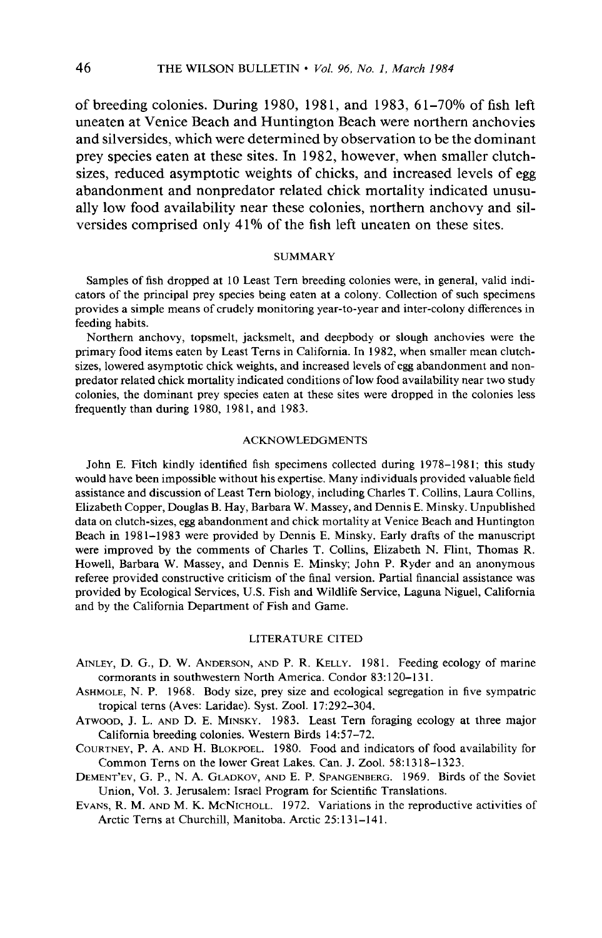**of breeding colonies. During 1980, 1981, and 1983, 61-70% of fish left uneaten at Venice Beach and Huntington Beach were northern anchovies and silversides, which were determined by observation to be the dominant prey species eaten at these sites. In 1982, however, when smaller clutchsizes, reduced asymptotic weights of chicks, and increased levels of egg abandonment and nonpredator related chick mortality indicated unusually low food availability near these colonies, northern anchovy and silversides comprised only 4 1% of the fish left uneaten on these sites.** 

### **SUMMARY**

**Samples of fish dropped at 10 Least Tern breeding colonies were, in general, valid indicators of the principal prey species being eaten at a colony. Collection of such specimens provides a simple means of crudely monitoring year-to-year and inter-colony differences in feeding habits.** 

**Northern anchovy, topsmelt, jacksmelt, and deepbody or slough anchovies were the primary food items eaten by Least Terns in California. In 1982, when smaller mean clutchsizes, lowered asymptotic chick weights, and increased levels of egg abandonment and nonpredator related chick mortality indicated conditions of low food availability near two study colonies, the dominant prey species eaten at these sites were dropped in the colonies less frequently than during 1980, 1981, and 1983.** 

### **ACKNOWLEDGMENTS**

John E. Fitch kindly identified fish specimens collected during 1978-1981; this study **would have been impossible without his expertise. Many individuals provided valuable field assistance and discussion of Least Tern biology, including Charles T. Collins, Laura Collins, Elizabeth Copper, Douglas B. Hay, Barbara W. Massey, and Dennis E. Minsky. Unpublished data on clutch-sizes, egg abandonment and chick mortality at Venice Beach and Huntington Beach in 1981-1983 were provided by Dennis E. Minsky. Early drafts of the manuscript were improved by the comments of Charles T. Collins, Elizabeth N. Flint, Thomas R. Howell, Barbara W. Massey, and Dennis E. Minsky; John P. Ryder and an anonymous referee provided constructive criticism of the final version. Partial financial assistance was provided by Ecological Services, U.S. Fish and Wildlife Service, Laguna Niguel, California and by the California Department of Fish and Game.** 

### **LITERATURE CITED**

- **AINLEY, D. G., D. W. ANDERSON, AND P. R. KELLY. 1981. Feeding ecology of marine**  cormorants in southwestern North America. Condor 83:120-131.
- **ASHMOLE, N. P. 1968. Body size, prey size and ecological segregation in five sympatric tropical terns (Aves: Laridae). Syst. Zool. 17:292-304.**
- **ATWOOD, J. L. AND D. E. MINSKY. 1983. Least Tern foraging ecology at three major California breeding colonies. Western Birds 14:57-72.**
- **COURTNEY, P. A. AND H. BLOKPOEL. 1980. Food and indicators of food availability for Common Terns on the lower Great Lakes. Can. J. 2001. 58: 13 18-l 323.**
- DEMENT'EV, G. P., N. A. GLADKOV, AND E. P. SPANGENBERG. 1969. Birds of the Soviet **Union, Vol. 3. Jerusalem: Israel Program for Scientific Translations.**
- **EVANS, R. M. AND M. K. MCNICHOLL. 1972. Variations in the reproductive activities of Arctic Terns at Churchill, Manitoba. Arctic 25: 13 1-14 1.**